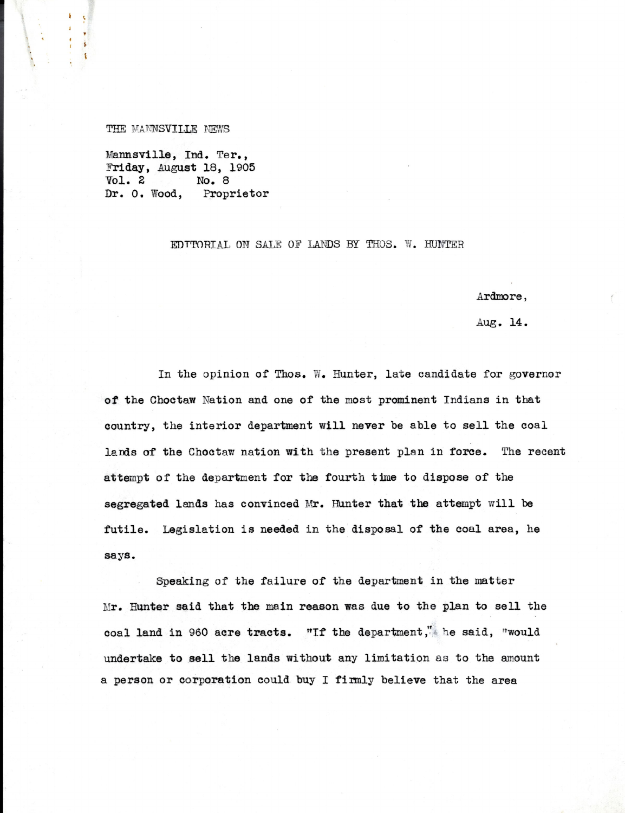## THE MANNSVILLE NEWS

 $\mathbf{V}$ 

Mannsville, Ind. Ter., Friday, August 18, 1905<br>Vol. 2 No. 8 No. 8 Dr. 0. Wood, Proprietor

## EDITORIAL ON SALE OF LANDS BY THOS. W. HUNTER

Ardmore,

Aug. 14.

In the opinion of Thos. W. Hunter, late candidate for governor of the Choctaw Nation and one of the most prominent Indians in that country, the interior department will never be able to sell the coal lands of the Choctaw nation with the present plan in force. The recent attempt of the department for the fourth time to dispose of the segregated lands has convinced Mr. Hunter that the attempt will be futile. Legislation is needed in the disposal of the coal area, he says.

Speaking of the failure of the department in the matter Mr. Hunter said that the main reason was due to the plan to sell the coal land in 960 acre tracts. "If the department," he said, "would undertake to sell the lands without any limitation as to the amount a person or corporation could buy I firmly believe that the area